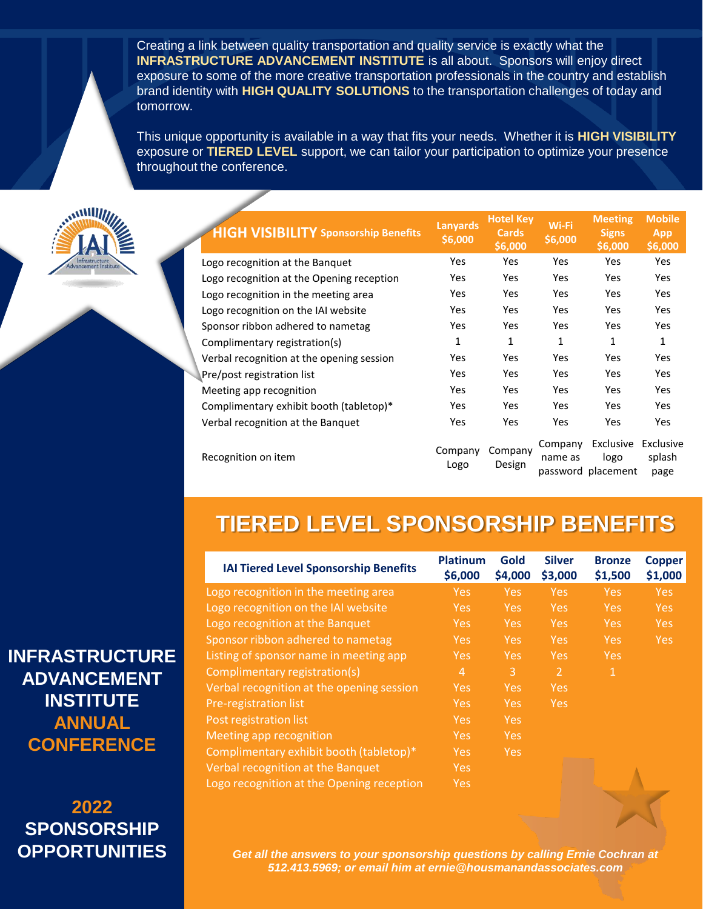Creating a link between quality transportation and quality service is exactly what the **INFRASTRUCTURE ADVANCEMENT INSTITUTE** is all about. Sponsors will enjoy direct exposure to some of the more creative transportation professionals in the country and establish brand identity with **HIGH QUALITY SOLUTIONS** to the transportation challenges of today and tomorrow.

This unique opportunity is available in a way that fits your needs. Whether it is **HIGH VISIBILITY**  exposure or **TIERED LEVEL** support, we can tailor your participation to optimize your presence throughout the conference.



| <b>HIGH VISIBILITY Sponsorship Benefits</b> | <b>Lanyards</b><br>\$6,000 | <b>Hotel Key</b><br><b>Cards</b><br>\$6,000 | Wi-Fi<br>\$6,000   | <b>Meeting</b><br><b>Signs</b><br>\$6,000 | <b>Mobile</b><br><b>App</b><br>\$6,000 |
|---------------------------------------------|----------------------------|---------------------------------------------|--------------------|-------------------------------------------|----------------------------------------|
| Logo recognition at the Banquet             | Yes                        | Yes                                         | Yes                | <b>Yes</b>                                | Yes                                    |
| Logo recognition at the Opening reception   | Yes                        | <b>Yes</b>                                  | Yes                | <b>Yes</b>                                | Yes                                    |
| Logo recognition in the meeting area        | Yes                        | <b>Yes</b>                                  | <b>Yes</b>         | <b>Yes</b>                                | Yes                                    |
| Logo recognition on the IAI website         | Yes                        | <b>Yes</b>                                  | <b>Yes</b>         | <b>Yes</b>                                | <b>Yes</b>                             |
| Sponsor ribbon adhered to nametag           | <b>Yes</b>                 | Yes                                         | Yes                | Yes                                       | <b>Yes</b>                             |
| Complimentary registration(s)               | 1                          | 1                                           | 1                  | 1                                         | 1                                      |
| Verbal recognition at the opening session   | Yes                        | <b>Yes</b>                                  | Yes                | Yes                                       | Yes                                    |
| Pre/post registration list                  | Yes                        | <b>Yes</b>                                  | <b>Yes</b>         | <b>Yes</b>                                | Yes                                    |
| Meeting app recognition                     | Yes                        | <b>Yes</b>                                  | Yes                | <b>Yes</b>                                | Yes                                    |
| Complimentary exhibit booth (tabletop)*     | Yes                        | <b>Yes</b>                                  | Yes                | <b>Yes</b>                                | Yes                                    |
| Verbal recognition at the Banquet           | Yes                        | Yes                                         | Yes                | <b>Yes</b>                                | <b>Yes</b>                             |
| Recognition on item                         | Company<br>Logo            | Company<br>Design                           | Company<br>name as | Exclusive<br>logo<br>password placement   | Exclusive<br>splash<br>page            |

## **TIERED LEVEL SPONSORSHIP BENEFITS**

| <b>IAI Tiered Level Sponsorship Benefits</b> | <b>Platinum</b><br>\$6,000 | Gold<br>\$4,000 | <b>Silver</b><br>\$3,000 | <b>Bronze</b><br>\$1,500 | <b>Copper</b><br>\$1,000 |
|----------------------------------------------|----------------------------|-----------------|--------------------------|--------------------------|--------------------------|
| Logo recognition in the meeting area         | Yes:                       | <b>Yes</b>      | <b>Yes</b>               | Yes:                     | <b>Yes</b>               |
| Logo recognition on the IAI website          | <b>Yes</b>                 | <b>Yes</b>      | <b>Yes</b>               | <b>Yes</b>               | <b>Yes</b>               |
| Logo recognition at the Banquet              | Yes:                       | <b>Yes</b>      | <b>Yes</b>               | Yes:                     | <b>Yes</b>               |
| Sponsor ribbon adhered to nametag            | <b>Yes</b>                 | Yes:            | Yes:                     | <b>Yes</b>               | <b>Yes</b>               |
| Listing of sponsor name in meeting app       | <b>Yes</b>                 | <b>Yes</b>      | <b>Yes</b>               | <b>Yes</b>               |                          |
| Complimentary registration(s)                | $\overline{4}$             | 3               | $\mathcal{P}$            | 1                        |                          |
| Verbal recognition at the opening session    | <b>Yes</b>                 | <b>Yes</b>      | <b>Yes</b>               |                          |                          |
| Pre-registration list                        | <b>Yes</b>                 | <b>Yes</b>      | <b>Yes</b>               |                          |                          |
| Post registration list                       | Yes:                       | <b>Yes</b>      |                          |                          |                          |
| Meeting app recognition                      | <b>Yes</b>                 | <b>Yes</b>      |                          |                          |                          |
| Complimentary exhibit booth (tabletop)*      | Yes.                       | <b>Yes</b>      |                          |                          |                          |
| Verbal recognition at the Banquet            | <b>Yes</b>                 |                 |                          |                          |                          |
| Logo recognition at the Opening reception    | <b>Yes</b>                 |                 |                          |                          |                          |

*Get all the answers to your sponsorship questions by calling Ernie Cochran at 512.413.5969; or email him at ernie@housmanandassociates.com*

**INFRASTRUCTURE ADVANCEMENT INSTITUTE ANNUAL CONFERENCE**

**2022 SPONSORSHIP OPPORTUNITIES**